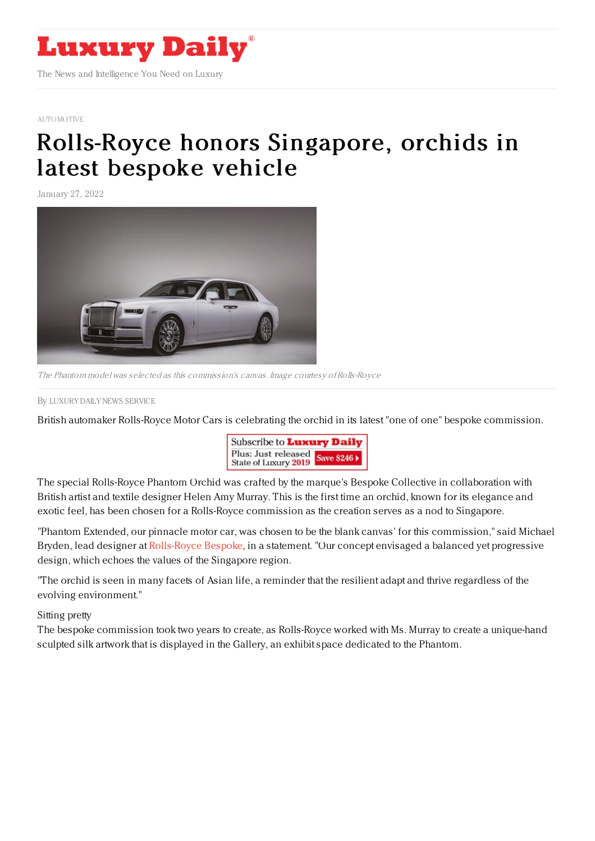

## [AUTOMOTIVE](https://www.luxurydaily.com/category/sectors/automotive-industry-sectors/)

## [Rolls-Royce](https://www.luxurydaily.com/?p=344460) honors Singapore, orchids in latest bespoke vehicle

January 27, 2022



The Phantom model was selected as this commission's canvas. Image courtesy ofRolls-Royce

By LUXURY DAILY NEWS [SERVICE](file:///author/luxury-daily-news-service)

British automaker Rolls-Royce Motor Cars is celebrating the orchid in its latest "one of one" bespoke commission.



The special Rolls-Royce Phantom Orchid was crafted by the marque's Bespoke Collective in collaboration with British artist and textile designer Helen Amy Murray. This is the first time an orchid, known for its elegance and exotic feel, has been chosen for a Rolls-Royce commission as the creation serves as a nod to Singapore.

"Phantom Extended, our pinnacle motor car, was chosen to be the blank canvas' for this commission," said Michael Bryden, lead designer at [Rolls-Royce](https://www.rolls-roycemotorcars.com/en_US/bespoke/discover.html) Bespoke, in a statement. "Our concept envisaged a balanced yet progressive design, which echoes the values of the Singapore region.

"The orchid is seen in many facets of Asian life, a reminder that the resilient adapt and thrive regardless of the evolving environment."

## Sitting pretty

The bespoke commission took two years to create, as Rolls-Royce worked with Ms. Murray to create a unique-hand sculpted silk artwork that is displayed in the Gallery, an exhibit space dedicated to the Phantom.